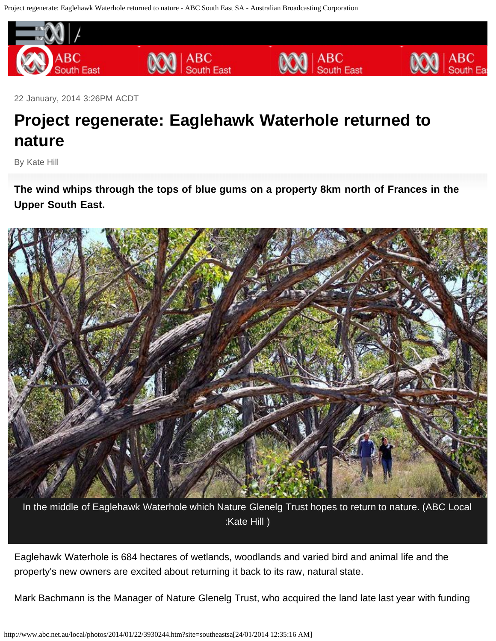<span id="page-0-0"></span>Project regenerate: Eaglehawk Waterhole returned to nature - ABC South East SA - Australian Broadcasting Corporation



22 January, 2014 3:26PM ACDT

## **Project regenerate: Eaglehawk Waterhole returned to nature**

By Kate Hill

**The wind whips through the tops of blue gums on a property 8km north of Frances in the Upper South East.**



In the middle of Eaglehawk Waterhole which Nature Glenelg Trust hopes to return to nature. (ABC Local :Kate Hill )

Eaglehawk Waterhole is 684 hectares of wetlands, woodlands and varied bird and animal life and the property's new owners are excited about returning it back to its raw, natural state.

Mark Bachmann is the Manager of Nature Glenelg Trust, who acquired the land late last year with funding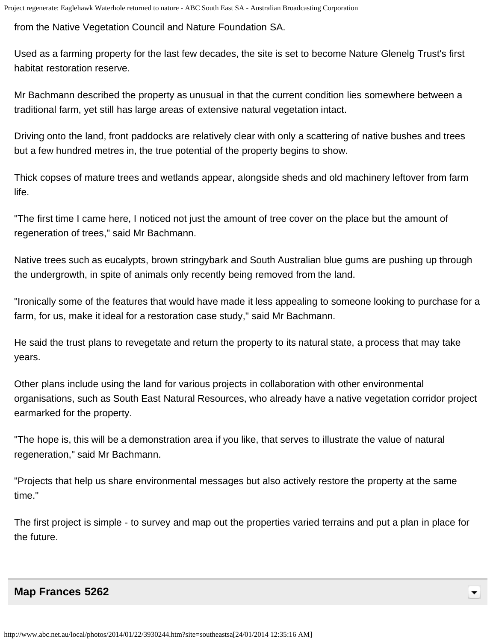from the Native Vegetation Council and Nature Foundation SA.

Used as a farming property for the last few decades, the site is set to become Nature Glenelg Trust's first habitat restoration reserve.

Mr Bachmann described the property as unusual in that the current condition lies somewhere between a traditional farm, yet still has large areas of extensive natural vegetation intact.

Driving onto the land, front paddocks are relatively clear with only a scattering of native bushes and trees but a few hundred metres in, the true potential of the property begins to show.

Thick copses of mature trees and wetlands appear, alongside sheds and old machinery leftover from farm life.

"The first time I came here, I noticed not just the amount of tree cover on the place but the amount of regeneration of trees," said Mr Bachmann.

Native trees such as eucalypts, brown stringybark and South Australian blue gums are pushing up through the undergrowth, in spite of animals only recently being removed from the land.

"Ironically some of the features that would have made it less appealing to someone looking to purchase for a farm, for us, make it ideal for a restoration case study," said Mr Bachmann.

He said the trust plans to revegetate and return the property to its natural state, a process that may take years.

Other plans include using the land for various projects in collaboration with other environmental organisations, such as South East Natural Resources, who already have a native vegetation corridor project earmarked for the property.

"The hope is, this will be a demonstration area if you like, that serves to illustrate the value of natural regeneration," said Mr Bachmann.

"Projects that help us share environmental messages but also actively restore the property at the same time."

The first project is simple - to survey and map out the properties varied terrains and put a plan in place for the future.

## **[Map Frances 5262](#page-0-0)**